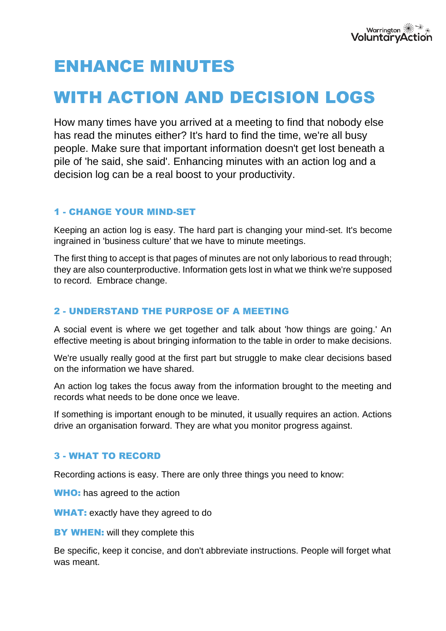# ENHANCE MINUTES

# WITH ACTION AND DECISION LOGS

How many times have you arrived at a meeting to find that nobody else has read the minutes either? It's hard to find the time, we're all busy people. Make sure that important information doesn't get lost beneath a pile of 'he said, she said'. Enhancing minutes with an action log and a decision log can be a real boost to your productivity.

## 1 - CHANGE YOUR MIND-SET

Keeping an action log is easy. The hard part is changing your mind-set. It's become ingrained in 'business culture' that we have to minute meetings.

The first thing to accept is that pages of minutes are not only laborious to read through; they are also counterproductive. Information gets lost in what we think we're supposed to record. Embrace change.

#### 2 - UNDERSTAND THE PURPOSE OF A MEETING

A social event is where we get together and talk about 'how things are going.' An effective meeting is about bringing information to the table in order to make decisions.

We're usually really good at the first part but struggle to make clear decisions based on the information we have shared.

An action log takes the focus away from the information brought to the meeting and records what needs to be done once we leave.

If something is important enough to be minuted, it usually requires an action. Actions drive an organisation forward. They are what you monitor progress against.

#### 3 - WHAT TO RECORD

Recording actions is easy. There are only three things you need to know:

WHO: has agreed to the action

WHAT: exactly have they agreed to do

**BY WHEN:** will they complete this

Be specific, keep it concise, and don't abbreviate instructions. People will forget what was meant.